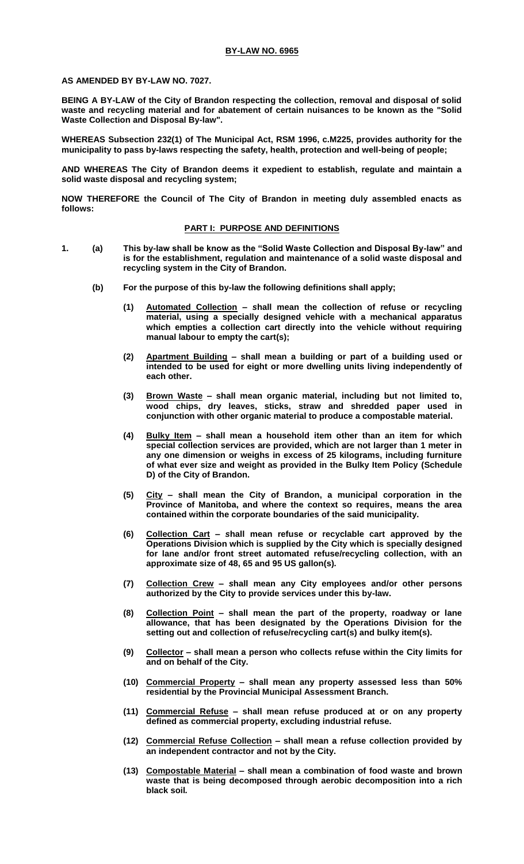**AS AMENDED BY BY-LAW NO. 7027.**

**BEING A BY-LAW of the City of Brandon respecting the collection, removal and disposal of solid waste and recycling material and for abatement of certain nuisances to be known as the "Solid Waste Collection and Disposal By-law".**

**WHEREAS Subsection 232(1) of The Municipal Act, RSM 1996, c.M225, provides authority for the municipality to pass by-laws respecting the safety, health, protection and well-being of people;**

**AND WHEREAS The City of Brandon deems it expedient to establish, regulate and maintain a solid waste disposal and recycling system;** 

**NOW THEREFORE the Council of The City of Brandon in meeting duly assembled enacts as follows:**

## **PART I: PURPOSE AND DEFINITIONS**

- **1. (a) This by-law shall be know as the "Solid Waste Collection and Disposal By-law" and is for the establishment, regulation and maintenance of a solid waste disposal and recycling system in the City of Brandon.**
	- **(b) For the purpose of this by-law the following definitions shall apply;**
		- **(1) Automated Collection –** *s***hall mean the collection of refuse or recycling material, using a specially designed vehicle with a mechanical apparatus which empties a collection cart directly into the vehicle without requiring manual labour to empty the cart(s);**
		- **(2) Apartment Building – shall mean a building or part of a building used or intended to be used for eight or more dwelling units living independently of each other.**
		- **(3) Brown Waste – shall mean organic material, including but not limited to, wood chips, dry leaves, sticks, straw and shredded paper used in conjunction with other organic material to produce a compostable material.**
		- **(4) Bulky Item – shall mean a household item other than an item for which special collection services are provided, which are not larger than 1 meter in any one dimension or weighs in excess of 25 kilograms, including furniture of what ever size and weight as provided in the Bulky Item Policy (Schedule D) of the City of Brandon.**
		- **(5) City – shall mean the City of Brandon, a municipal corporation in the Province of Manitoba, and where the context so requires, means the area contained within the corporate boundaries of the said municipality.**
		- **(6) Collection Cart –** *s***hall mean refuse or recyclable cart approved by the Operations Division which is supplied by the City which is specially designed for lane and/or front street automated refuse/recycling collection, with an approximate size of 48, 65 and 95 US gallon(s)***.*
		- **(7) Collection Crew –** *s***hall mean any City employees and/or other persons authorized by the City to provide services under this by-law.**
		- **(8) Collection Point – shall mean the part of the property, roadway or lane allowance, that has been designated by the Operations Division for the setting out and collection of refuse/recycling cart(s) and bulky item(s).**
		- **(9) Collector – shall mean a person who collects refuse within the City limits for and on behalf of the City.**
		- **(10) Commercial Property – shall mean any property assessed less than 50% residential by the Provincial Municipal Assessment Branch.**
		- **(11) Commercial Refuse – shall mean refuse produced at or on any property defined as commercial property, excluding industrial refuse.**
		- **(12) Commercial Refuse Collection – shall mean a refuse collection provided by an independent contractor and not by the City.**
		- **(13) Compostable Material – shall mean a combination of food waste and brown waste that is being decomposed through aerobic decomposition into a rich black soil***.*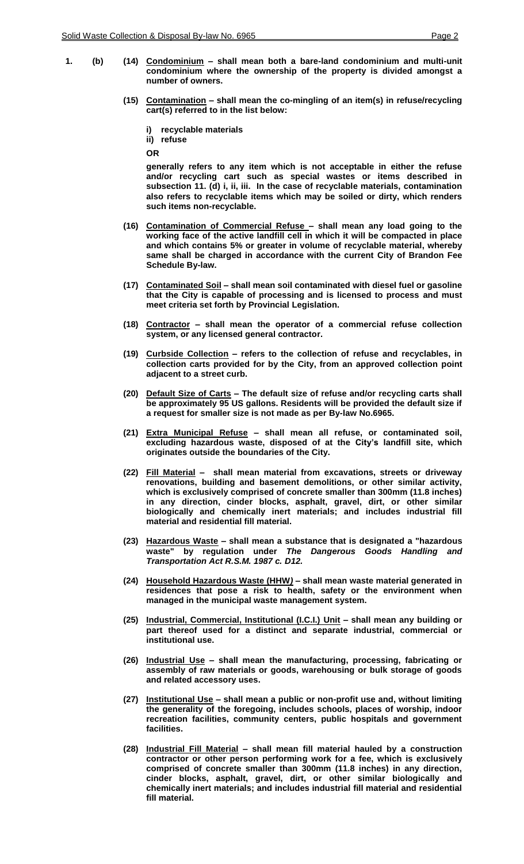- 
- **1. (b) (14) Condominium – shall mean both a bare-land condominium and multi-unit condominium where the ownership of the property is divided amongst a number of owners.**
	- **(15) Contamination – shall mean the co-mingling of an item(s) in refuse/recycling cart(s) referred to in the list below:**
		- **i) recyclable materials**

**ii) refuse**

**OR**

**generally refers to any item which is not acceptable in either the refuse and/or recycling cart such as special wastes or items described in subsection 11. (d) i, ii, iii. In the case of recyclable materials, contamination also refers to recyclable items which may be soiled or dirty, which renders such items non-recyclable.**

- **(16) Contamination of Commercial Refuse – shall mean any load going to the working face of the active landfill cell in which it will be compacted in place and which contains 5% or greater in volume of recyclable material, whereby same shall be charged in accordance with the current City of Brandon Fee Schedule By-law.**
- **(17) Contaminated Soil – shall mean soil contaminated with diesel fuel or gasoline that the City is capable of processing and is licensed to process and must meet criteria set forth by Provincial Legislation.**
- **(18) Contractor – shall mean the operator of a commercial refuse collection system, or any licensed general contractor.**
- **(19) Curbside Collection – refers to the collection of refuse and recyclables, in collection carts provided for by the City, from an approved collection point adjacent to a street curb.**
- **(20) Default Size of Carts – The default size of refuse and/or recycling carts shall be approximately 95 US gallons. Residents will be provided the default size if a request for smaller size is not made as per By-law No.6965.**
- **(21) Extra Municipal Refuse – shall mean all refuse, or contaminated soil, excluding hazardous waste, disposed of at the City's landfill site, which originates outside the boundaries of the City.**
- **(22) Fill Material – shall mean material from excavations, streets or driveway renovations, building and basement demolitions, or other similar activity, which is exclusively comprised of concrete smaller than 300mm (11.8 inches) in any direction, cinder blocks, asphalt, gravel, dirt, or other similar biologically and chemically inert materials; and includes industrial fill material and residential fill material.**
- **(23) Hazardous Waste – shall mean a substance that is designated a "hazardous waste" by regulation under** *The Dangerous Goods Handling and Transportation Act R.S.M. 1987 c. D12.*
- **(24) Household Hazardous Waste (HHW***)* **– shall mean waste material generated in residences that pose a risk to health, safety or the environment when managed in the municipal waste management system.**
- **(25) Industrial, Commercial, Institutional (I.C.I.) Unit – shall mean any building or part thereof used for a distinct and separate industrial, commercial or institutional use.**
- **(26) Industrial Use – shall mean the manufacturing, processing, fabricating or assembly of raw materials or goods, warehousing or bulk storage of goods and related accessory uses.**
- **(27) Institutional Use – shall mean a public or non-profit use and, without limiting the generality of the foregoing, includes schools, places of worship, indoor recreation facilities, community centers, public hospitals and government facilities.**
- **(28) Industrial Fill Material – shall mean fill material hauled by a construction contractor or other person performing work for a fee, which is exclusively comprised of concrete smaller than 300mm (11.8 inches) in any direction, cinder blocks, asphalt, gravel, dirt, or other similar biologically and chemically inert materials; and includes industrial fill material and residential fill material.**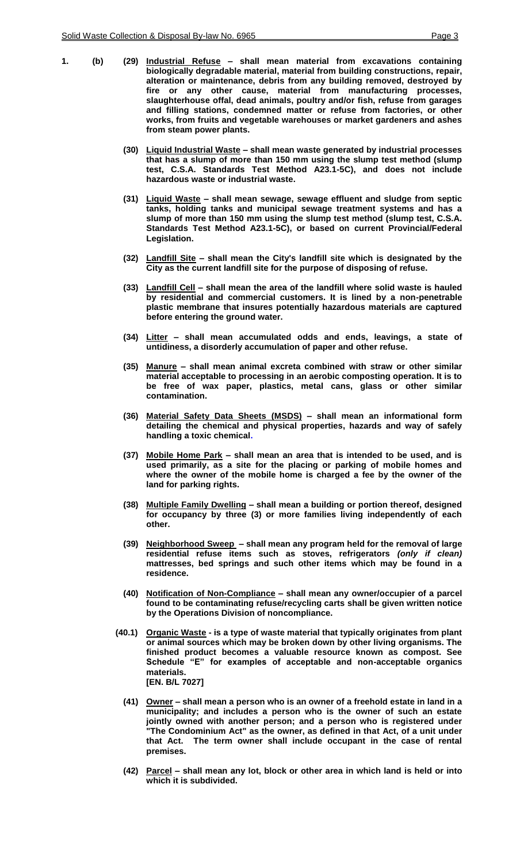- **1. (b) (29) Industrial Refuse – shall mean material from excavations containing biologically degradable material, material from building constructions, repair, alteration or maintenance, debris from any building removed, destroyed by fire or any other cause, material from manufacturing processes, slaughterhouse offal, dead animals, poultry and/or fish, refuse from garages and filling stations, condemned matter or refuse from factories, or other works, from fruits and vegetable warehouses or market gardeners and ashes from steam power plants.**
	- **(30) Liquid Industrial Waste – shall mean waste generated by industrial processes that has a slump of more than 150 mm using the slump test method (slump test, C.S.A. Standards Test Method A23.1-5C), and does not include hazardous waste or industrial waste.**
	- **(31) Liquid Waste – shall mean sewage, sewage effluent and sludge from septic tanks, holding tanks and municipal sewage treatment systems and has a slump of more than 150 mm using the slump test method (slump test, C.S.A. Standards Test Method A23.1-5C), or based on current Provincial/Federal Legislation.**
	- **(32) Landfill Site – shall mean the City's landfill site which is designated by the City as the current landfill site for the purpose of disposing of refuse.**
	- **(33) Landfill Cell – shall mean the area of the landfill where solid waste is hauled by residential and commercial customers. It is lined by a non-penetrable plastic membrane that insures potentially hazardous materials are captured before entering the ground water.**
	- **(34) Litter – shall mean accumulated odds and ends, leavings, a state of untidiness, a disorderly accumulation of paper and other refuse.**
	- **(35) Manure – shall mean animal excreta combined with straw or other similar material acceptable to processing in an aerobic composting operation. It is to be free of wax paper, plastics, metal cans, glass or other similar contamination.**
	- **(36) Material Safety Data Sheets (MSDS) – shall mean an informational form detailing the chemical and physical properties, hazards and way of safely handling a toxic chemical.**
	- **(37) Mobile Home Park – shall mean an area that is intended to be used, and is used primarily, as a site for the placing or parking of mobile homes and where the owner of the mobile home is charged a fee by the owner of the land for parking rights.**
	- **(38) Multiple Family Dwelling – shall mean a building or portion thereof, designed for occupancy by three (3) or more families living independently of each other.**
	- **(39) Neighborhood Sweep – shall mean any program held for the removal of large residential refuse items such as stoves, refrigerators** *(only if clean)* **mattresses, bed springs and such other items which may be found in a residence.**
	- **(40) Notification of Non-Compliance – shall mean any owner/occupier of a parcel found to be contaminating refuse/recycling carts shall be given written notice by the Operations Division of noncompliance.**
	- **(40.1) Organic Waste - is a type of waste material that typically originates from plant or animal sources which may be broken down by other living organisms. The finished product becomes a valuable resource known as compost. See Schedule "E" for examples of acceptable and non-acceptable organics materials. [EN. B/L 7027]**
		- **(41) Owner – shall mean a person who is an owner of a freehold estate in land in a municipality; and includes a person who is the owner of such an estate jointly owned with another person; and a person who is registered under "The Condominium Act" as the owner, as defined in that Act, of a unit under that Act. The term owner shall include occupant in the case of rental premises.**
		- **(42) Parcel – shall mean any lot, block or other area in which land is held or into which it is subdivided.**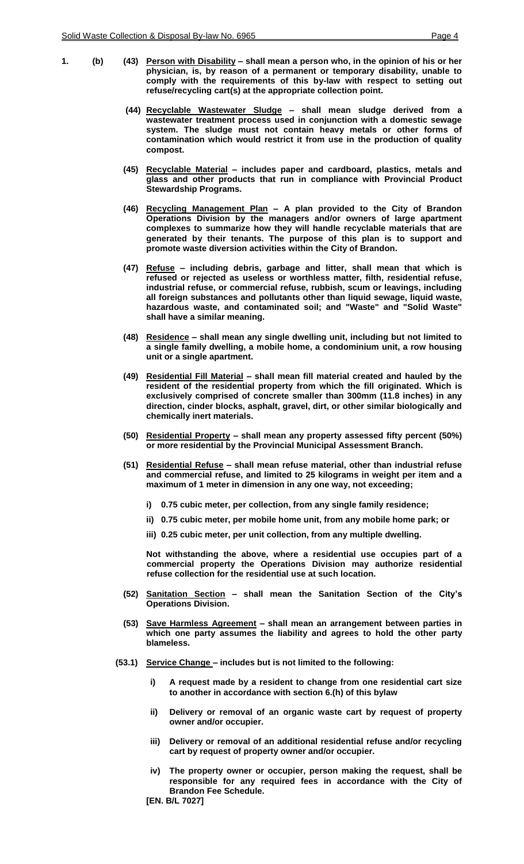- **1. (b) (43) Person with Disability – shall mean a person who, in the opinion of his or her physician, is, by reason of a permanent or temporary disability, unable to comply with the requirements of this by-law with respect to setting out refuse/recycling cart(s) at the appropriate collection point.**
	- **(44) Recyclable Wastewater Sludge – shall mean sludge derived from a wastewater treatment process used in conjunction with a domestic sewage system. The sludge must not contain heavy metals or other forms of contamination which would restrict it from use in the production of quality compost.**
	- **(45) Recyclable Material – includes paper and cardboard, plastics, metals and glass and other products that run in compliance with Provincial Product Stewardship Programs.**
	- **(46) Recycling Management Plan – A plan provided to the City of Brandon Operations Division by the managers and/or owners of large apartment complexes to summarize how they will handle recyclable materials that are generated by their tenants. The purpose of this plan is to support and promote waste diversion activities within the City of Brandon.**
	- **(47)****Refuse – including debris, garbage and litter, shall mean that which is refused or rejected as useless or worthless matter, filth, residential refuse, industrial refuse, or commercial refuse, rubbish, scum or leavings, including all foreign substances and pollutants other than liquid sewage, liquid waste, hazardous waste, and contaminated soil; and "Waste" and "Solid Waste" shall have a similar meaning.**
	- **(48) Residence – shall mean any single dwelling unit, including but not limited to a single family dwelling, a mobile home, a condominium unit, a row housing unit or a single apartment.**
	- **(49) Residential Fill Material – shall mean fill material created and hauled by the resident of the residential property from which the fill originated. Which is exclusively comprised of concrete smaller than 300mm (11.8 inches) in any direction, cinder blocks, asphalt, gravel, dirt, or other similar biologically and chemically inert materials.**
	- **(50) Residential Property – shall mean any property assessed fifty percent (50%) or more residential by the Provincial Municipal Assessment Branch.**
	- **(51) Residential Refuse – shall mean refuse material, other than industrial refuse and commercial refuse, and limited to 25 kilograms in weight per item and a maximum of 1 meter in dimension in any one way, not exceeding;**
		- **i) 0.75 cubic meter, per collection, from any single family residence;**
		- **ii) 0.75 cubic meter, per mobile home unit, from any mobile home park; or**
		- **iii) 0.25 cubic meter, per unit collection, from any multiple dwelling.**

**Not withstanding the above, where a residential use occupies part of a commercial property the Operations Division may authorize residential refuse collection for the residential use at such location.**

- **(52) Sanitation Section – shall mean the Sanitation Section of the City's Operations Division.**
- **(53) Save Harmless Agreement – shall mean an arrangement between parties in which one party assumes the liability and agrees to hold the other party blameless.**
- **(53.1) Service Change – includes but is not limited to the following:**
	- **i) A request made by a resident to change from one residential cart size to another in accordance with section 6.(h) of this bylaw**
	- **ii) Delivery or removal of an organic waste cart by request of property owner and/or occupier.**
	- **iii) Delivery or removal of an additional residential refuse and/or recycling cart by request of property owner and/or occupier.**
	- **iv) The property owner or occupier, person making the request, shall be responsible for any required fees in accordance with the City of Brandon Fee Schedule.**
	- **[EN. B/L 7027]**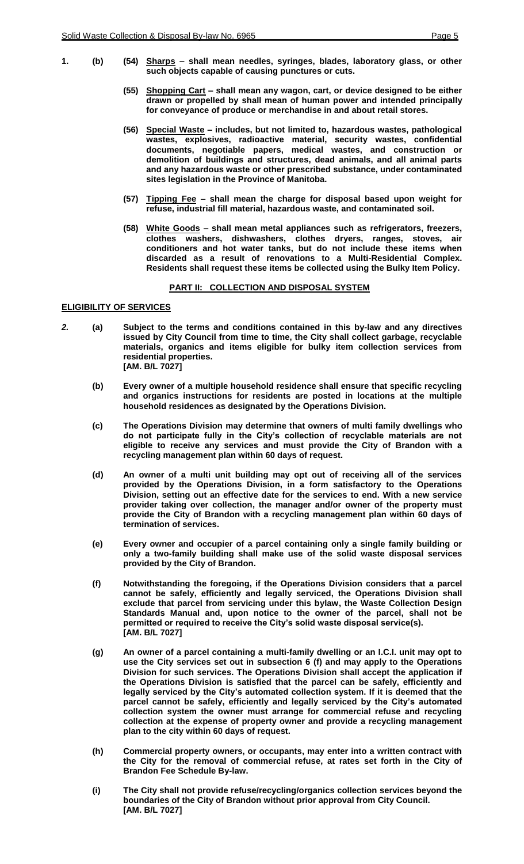- **1. (b) (54) Sharps – shall mean needles, syringes, blades, laboratory glass, or other such objects capable of causing punctures or cuts.**
	- **(55) Shopping Cart – shall mean any wagon, cart, or device designed to be either drawn or propelled by shall mean of human power and intended principally for conveyance of produce or merchandise in and about retail stores.**
	- **(56) Special Waste – includes, but not limited to, hazardous wastes, pathological wastes, explosives, radioactive material, security wastes, confidential documents, negotiable papers, medical wastes, and construction or demolition of buildings and structures, dead animals, and all animal parts and any hazardous waste or other prescribed substance, under contaminated sites legislation in the Province of Manitoba.**
	- **(57) Tipping Fee – shall mean the charge for disposal based upon weight for refuse, industrial fill material, hazardous waste, and contaminated soil.**
	- **(58) White Goods – shall mean metal appliances such as refrigerators, freezers, clothes washers, dishwashers, clothes dryers, ranges, stoves, air conditioners and hot water tanks, but do not include these items when discarded as a result of renovations to a Multi-Residential Complex. Residents shall request these items be collected using the Bulky Item Policy.**

#### **PART II: COLLECTION AND DISPOSAL SYSTEM**

#### **ELIGIBILITY OF SERVICES**

- *2.* **(a) Subject to the terms and conditions contained in this by-law and any directives issued by City Council from time to time, the City shall collect garbage, recyclable materials, organics and items eligible for bulky item collection services from residential properties. [AM. B/L 7027]**
	- **(b) Every owner of a multiple household residence shall ensure that specific recycling and organics instructions for residents are posted in locations at the multiple household residences as designated by the Operations Division.**
	- **(c) The Operations Division may determine that owners of multi family dwellings who do not participate fully in the City's collection of recyclable materials are not eligible to receive any services and must provide the City of Brandon with a recycling management plan within 60 days of request.**
	- **(d) An owner of a multi unit building may opt out of receiving all of the services provided by the Operations Division, in a form satisfactory to the Operations Division, setting out an effective date for the services to end. With a new service provider taking over collection, the manager and/or owner of the property must provide the City of Brandon with a recycling management plan within 60 days of termination of services.**
	- **(e) Every owner and occupier of a parcel containing only a single family building or only a two-family building shall make use of the solid waste disposal services provided by the City of Brandon.**
	- **(f) Notwithstanding the foregoing, if the Operations Division considers that a parcel cannot be safely, efficiently and legally serviced, the Operations Division shall exclude that parcel from servicing under this bylaw, the Waste Collection Design Standards Manual and, upon notice to the owner of the parcel, shall not be permitted or required to receive the City's solid waste disposal service(s). [AM. B/L 7027]**
	- **(g) An owner of a parcel containing a multi-family dwelling or an I.C.I. unit may opt to use the City services set out in subsection 6 (f) and may apply to the Operations Division for such services. The Operations Division shall accept the application if the Operations Division is satisfied that the parcel can be safely, efficiently and legally serviced by the City's automated collection system. If it is deemed that the parcel cannot be safely, efficiently and legally serviced by the City's automated collection system the owner must arrange for commercial refuse and recycling collection at the expense of property owner and provide a recycling management plan to the city within 60 days of request.**
	- **(h) Commercial property owners, or occupants, may enter into a written contract with the City for the removal of commercial refuse, at rates set forth in the City of Brandon Fee Schedule By-law.**
	- **(i) The City shall not provide refuse/recycling/organics collection services beyond the boundaries of the City of Brandon without prior approval from City Council. [AM. B/L 7027]**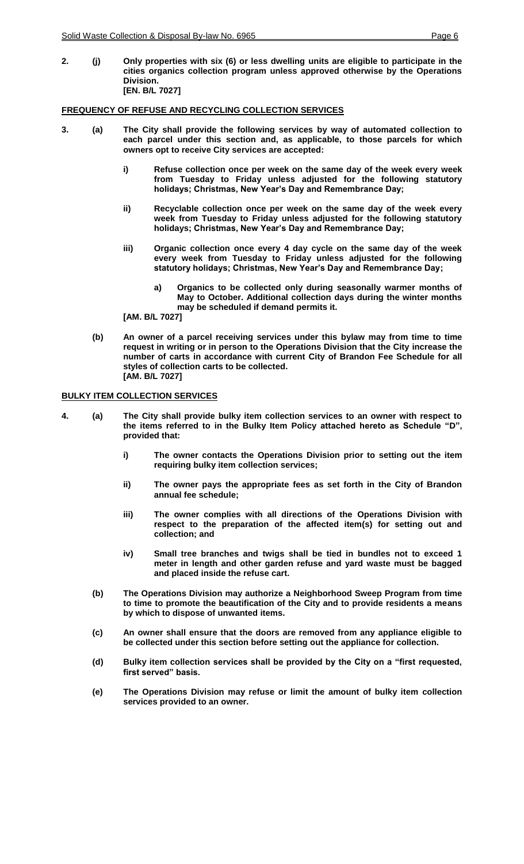**2. (j) Only properties with six (6) or less dwelling units are eligible to participate in the cities organics collection program unless approved otherwise by the Operations Division. [EN. B/L 7027]**

#### **FREQUENCY OF REFUSE AND RECYCLING COLLECTION SERVICES**

- **3. (a) The City shall provide the following services by way of automated collection to each parcel under this section and, as applicable, to those parcels for which owners opt to receive City services are accepted:**
	- **i) Refuse collection once per week on the same day of the week every week from Tuesday to Friday unless adjusted for the following statutory holidays; Christmas, New Year's Day and Remembrance Day;**
	- **ii) Recyclable collection once per week on the same day of the week every week from Tuesday to Friday unless adjusted for the following statutory holidays; Christmas, New Year's Day and Remembrance Day;**
	- **iii) Organic collection once every 4 day cycle on the same day of the week every week from Tuesday to Friday unless adjusted for the following statutory holidays; Christmas, New Year's Day and Remembrance Day;**
		- **a) Organics to be collected only during seasonally warmer months of May to October. Additional collection days during the winter months may be scheduled if demand permits it.**

**[AM. B/L 7027]**

**(b) An owner of a parcel receiving services under this bylaw may from time to time request in writing or in person to the Operations Division that the City increase the number of carts in accordance with current City of Brandon Fee Schedule for all styles of collection carts to be collected. [AM. B/L 7027]**

#### **BULKY ITEM COLLECTION SERVICES**

- **4. (a) The City shall provide bulky item collection services to an owner with respect to the items referred to in the Bulky Item Policy attached hereto as Schedule "D", provided that:**
	- **i) The owner contacts the Operations Division prior to setting out the item requiring bulky item collection services;**
	- **ii) The owner pays the appropriate fees as set forth in the City of Brandon annual fee schedule;**
	- **iii) The owner complies with all directions of the Operations Division with respect to the preparation of the affected item(s) for setting out and collection; and**
	- **iv) Small tree branches and twigs shall be tied in bundles not to exceed 1 meter in length and other garden refuse and yard waste must be bagged and placed inside the refuse cart.**
	- **(b) The Operations Division may authorize a Neighborhood Sweep Program from time to time to promote the beautification of the City and to provide residents a means by which to dispose of unwanted items.**
	- **(c) An owner shall ensure that the doors are removed from any appliance eligible to be collected under this section before setting out the appliance for collection.**
	- **(d) Bulky item collection services shall be provided by the City on a "first requested, first served" basis.**
	- **(e) The Operations Division may refuse or limit the amount of bulky item collection services provided to an owner.**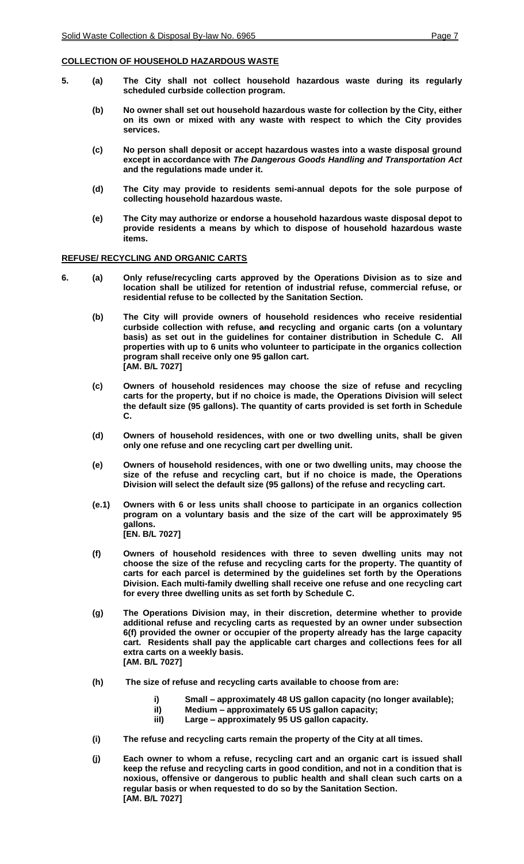## **COLLECTION OF HOUSEHOLD HAZARDOUS WASTE**

- **5. (a) The City shall not collect household hazardous waste during its regularly scheduled curbside collection program.**
	- **(b) No owner shall set out household hazardous waste for collection by the City, either on its own or mixed with any waste with respect to which the City provides services.**
	- **(c) No person shall deposit or accept hazardous wastes into a waste disposal ground except in accordance with** *The Dangerous Goods Handling and Transportation Act* **and the regulations made under it.**
	- **(d) The City may provide to residents semi-annual depots for the sole purpose of collecting household hazardous waste.**
	- **(e) The City may authorize or endorse a household hazardous waste disposal depot to provide residents a means by which to dispose of household hazardous waste items.**

## **REFUSE/ RECYCLING AND ORGANIC CARTS**

- **6. (a) Only refuse/recycling carts approved by the Operations Division as to size and location shall be utilized for retention of industrial refuse, commercial refuse, or residential refuse to be collected by the Sanitation Section.** 
	- **(b) The City will provide owners of household residences who receive residential curbside collection with refuse, and recycling and organic carts (on a voluntary basis) as set out in the guidelines for container distribution in Schedule C. All properties with up to 6 units who volunteer to participate in the organics collection program shall receive only one 95 gallon cart. [AM. B/L 7027]**
	- **(c) Owners of household residences may choose the size of refuse and recycling carts for the property, but if no choice is made, the Operations Division will select the default size (95 gallons). The quantity of carts provided is set forth in Schedule C.**
	- **(d) Owners of household residences, with one or two dwelling units, shall be given only one refuse and one recycling cart per dwelling unit.**
	- **(e) Owners of household residences, with one or two dwelling units, may choose the size of the refuse and recycling cart, but if no choice is made, the Operations Division will select the default size (95 gallons) of the refuse and recycling cart.**
	- **(e.1) Owners with 6 or less units shall choose to participate in an organics collection program on a voluntary basis and the size of the cart will be approximately 95 gallons. [EN. B/L 7027]**
	- **(f) Owners of household residences with three to seven dwelling units may not choose the size of the refuse and recycling carts for the property. The quantity of carts for each parcel is determined by the guidelines set forth by the Operations Division. Each multi-family dwelling shall receive one refuse and one recycling cart for every three dwelling units as set forth by Schedule C.**
	- **(g) The Operations Division may, in their discretion, determine whether to provide additional refuse and recycling carts as requested by an owner under subsection 6(f) provided the owner or occupier of the property already has the large capacity cart. Residents shall pay the applicable cart charges and collections fees for all extra carts on a weekly basis. [AM. B/L 7027]**
	- **(h) The size of refuse and recycling carts available to choose from are:**
		- **i) Small – approximately 48 US gallon capacity (no longer available);**
			- **iI) Medium – approximately 65 US gallon capacity;**
		- **iiI) Large – approximately 95 US gallon capacity.**
	- **(i) The refuse and recycling carts remain the property of the City at all times.**
	- **(j) Each owner to whom a refuse, recycling cart and an organic cart is issued shall keep the refuse and recycling carts in good condition, and not in a condition that is noxious, offensive or dangerous to public health and shall clean such carts on a regular basis or when requested to do so by the Sanitation Section. [AM. B/L 7027]**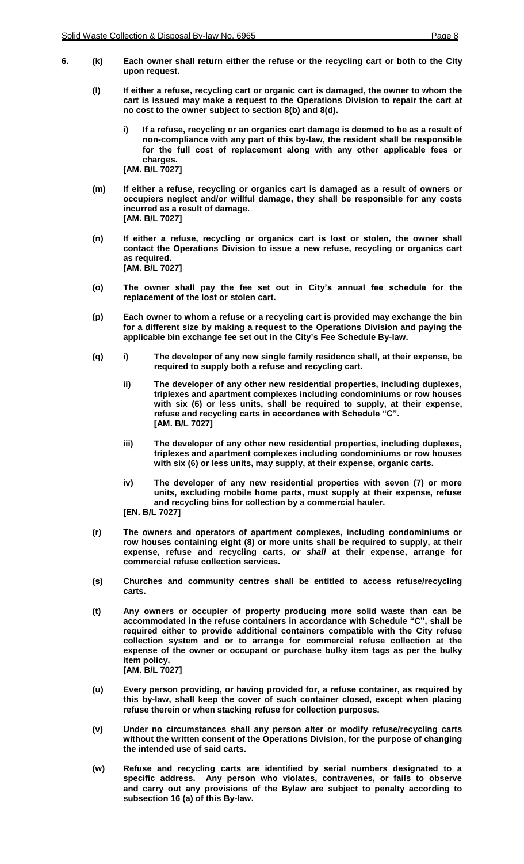- **6. (k) Each owner shall return either the refuse or the recycling cart or both to the City upon request.**
	- **(l) If either a refuse, recycling cart or organic cart is damaged, the owner to whom the cart is issued may make a request to the Operations Division to repair the cart at no cost to the owner subject to section 8(b) and 8(d).**
		- **i) If a refuse, recycling or an organics cart damage is deemed to be as a result of non-compliance with any part of this by-law, the resident shall be responsible for the full cost of replacement along with any other applicable fees or charges. [AM. B/L 7027]**
	- **(m) If either a refuse, recycling or organics cart is damaged as a result of owners or occupiers neglect and/or willful damage, they shall be responsible for any costs incurred as a result of damage. [AM. B/L 7027]**
	- **(n) If either a refuse, recycling or organics cart is lost or stolen, the owner shall contact the Operations Division to issue a new refuse, recycling or organics cart as required. [AM. B/L 7027]**
	- **(o) The owner shall pay the fee set out in City's annual fee schedule for the replacement of the lost or stolen cart.**
	- **(p) Each owner to whom a refuse or a recycling cart is provided may exchange the bin for a different size by making a request to the Operations Division and paying the applicable bin exchange fee set out in the City's Fee Schedule By-law.**
	- **(q) i) The developer of any new single family residence shall, at their expense, be required to supply both a refuse and recycling cart.**
		- **ii) The developer of any other new residential properties, including duplexes, triplexes and apartment complexes including condominiums or row houses with six (6) or less units, shall be required to supply, at their expense, refuse and recycling carts in accordance with Schedule "C". [AM. B/L 7027]**
		- **iii) The developer of any other new residential properties, including duplexes, triplexes and apartment complexes including condominiums or row houses with six (6) or less units, may supply, at their expense, organic carts.**
		- **iv) The developer of any new residential properties with seven (7) or more units, excluding mobile home parts, must supply at their expense, refuse and recycling bins for collection by a commercial hauler.**

**[EN. B/L 7027]**

- **(r) The owners and operators of apartment complexes, including condominiums or row houses containing eight (8) or more units shall be required to supply, at their expense, refuse and recycling carts***, or shall* **at their expense, arrange for commercial refuse collection services.**
- **(s) Churches and community centres shall be entitled to access refuse/recycling carts.**
- **(t) Any owners or occupier of property producing more solid waste than can be accommodated in the refuse containers in accordance with Schedule "C", shall be required either to provide additional containers compatible with the City refuse collection system and or to arrange for commercial refuse collection at the expense of the owner or occupant or purchase bulky item tags as per the bulky item policy. [AM. B/L 7027]**
- **(u) Every person providing, or having provided for, a refuse container, as required by this by-law, shall keep the cover of such container closed, except when placing refuse therein or when stacking refuse for collection purposes.**
- **(v) Under no circumstances shall any person alter or modify refuse/recycling carts without the written consent of the Operations Division, for the purpose of changing the intended use of said carts.**
- **(w) Refuse and recycling carts are identified by serial numbers designated to a specific address. Any person who violates, contravenes, or fails to observe and carry out any provisions of the Bylaw are subject to penalty according to subsection 16 (a) of this By-law.**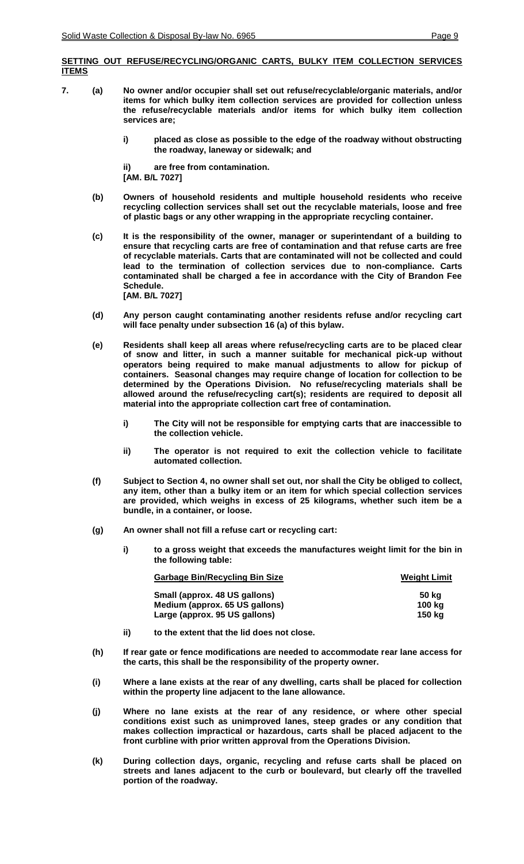## **SETTING OUT REFUSE/RECYCLING/ORGANIC CARTS, BULKY ITEM COLLECTION SERVICES ITEMS**

- **7. (a) No owner and/or occupier shall set out refuse/recyclable/organic materials, and/or items for which bulky item collection services are provided for collection unless the refuse/recyclable materials and/or items for which bulky item collection services are;**
	- **i) placed as close as possible to the edge of the roadway without obstructing the roadway, laneway or sidewalk; and**

**ii) are free from contamination.**

**[AM. B/L 7027]**

- **(b) Owners of household residents and multiple household residents who receive recycling collection services shall set out the recyclable materials, loose and free of plastic bags or any other wrapping in the appropriate recycling container.**
- **(c) It is the responsibility of the owner, manager or superintendant of a building to ensure that recycling carts are free of contamination and that refuse carts are free of recyclable materials. Carts that are contaminated will not be collected and could lead to the termination of collection services due to non-compliance. Carts contaminated shall be charged a fee in accordance with the City of Brandon Fee Schedule. [AM. B/L 7027]**
- **(d) Any person caught contaminating another residents refuse and/or recycling cart will face penalty under subsection 16 (a) of this bylaw.**
- **(e) Residents shall keep all areas where refuse/recycling carts are to be placed clear of snow and litter, in such a manner suitable for mechanical pick-up without operators being required to make manual adjustments to allow for pickup of containers. Seasonal changes may require change of location for collection to be determined by the Operations Division***.* **No refuse/recycling materials shall be allowed around the refuse/recycling cart(s); residents are required to deposit all material into the appropriate collection cart free of contamination.**
	- **i) The City will not be responsible for emptying carts that are inaccessible to the collection vehicle.**
	- **ii) The operator is not required to exit the collection vehicle to facilitate automated collection.**
- **(f) Subject to Section 4, no owner shall set out, nor shall the City be obliged to collect, any item, other than a bulky item or an item for which special collection services are provided, which weighs in excess of 25 kilograms, whether such item be a bundle, in a container, or loose.**
- **(g) An owner shall not fill a refuse cart or recycling cart:**
	- **i) to a gross weight that exceeds the manufactures weight limit for the bin in the following table:**

| <b>Garbage Bin/Recycling Bin Size</b> | <b>Weight Limit</b> |  |
|---------------------------------------|---------------------|--|
| Small (approx. 48 US gallons)         | 50 ka               |  |
| Medium (approx. 65 US gallons)        | 100 ka              |  |
| Large (approx. 95 US gallons)         | 150 ka              |  |

- **ii) to the extent that the lid does not close.**
- **(h) If rear gate or fence modifications are needed to accommodate rear lane access for the carts, this shall be the responsibility of the property owner.**
- **(i) Where a lane exists at the rear of any dwelling, carts shall be placed for collection within the property line adjacent to the lane allowance.**
- **(j) Where no lane exists at the rear of any residence, or where other special conditions exist such as unimproved lanes, steep grades or any condition that makes collection impractical or hazardous, carts shall be placed adjacent to the front curbline with prior written approval from the Operations Division.**
- **(k) During collection days, organic, recycling and refuse carts shall be placed on streets and lanes adjacent to the curb or boulevard, but clearly off the travelled portion of the roadway.**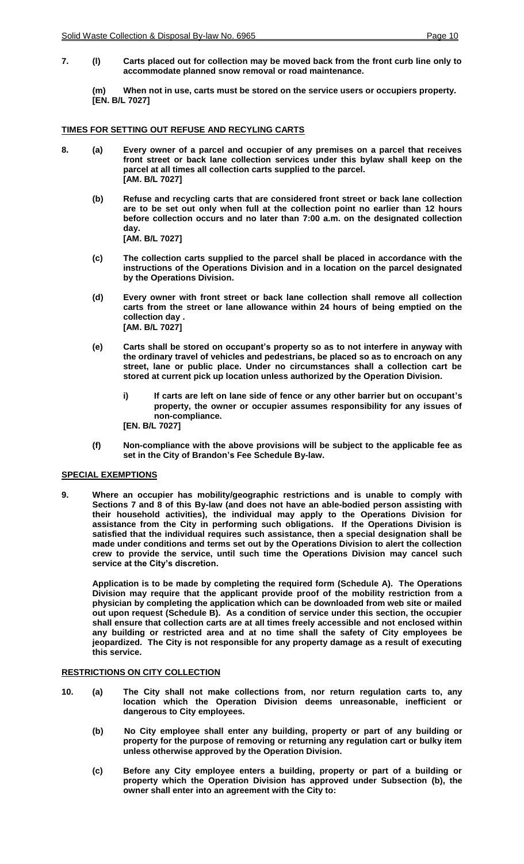**7. (l) Carts placed out for collection may be moved back from the front curb line only to accommodate planned snow removal or road maintenance.**

**(m) When not in use, carts must be stored on the service users or occupiers property. [EN. B/L 7027]**

## **TIMES FOR SETTING OUT REFUSE AND RECYLING CARTS**

- **8. (a) Every owner of a parcel and occupier of any premises on a parcel that receives front street or back lane collection services under this bylaw shall keep on the parcel at all times all collection carts supplied to the parcel. [AM. B/L 7027]**
	- **(b) Refuse and recycling carts that are considered front street or back lane collection are to be set out only when full at the collection point no earlier than 12 hours before collection occurs and no later than 7:00 a.m. on the designated collection day. [AM. B/L 7027]**
	- **(c) The collection carts supplied to the parcel shall be placed in accordance with the instructions of the Operations Division and in a location on the parcel designated by the Operations Division.**
	- **(d) Every owner with front street or back lane collection shall remove all collection carts from the street or lane allowance within 24 hours of being emptied on the collection day . [AM. B/L 7027]**
	- **(e) Carts shall be stored on occupant's property so as to not interfere in anyway with the ordinary travel of vehicles and pedestrians, be placed so as to encroach on any street, lane or public place. Under no circumstances shall a collection cart be stored at current pick up location unless authorized by the Operation Division.**
		- **i) If carts are left on lane side of fence or any other barrier but on occupant's property, the owner or occupier assumes responsibility for any issues of non-compliance. [EN. B/L 7027]**
	- **(f) Non-compliance with the above provisions will be subject to the applicable fee as set in the City of Brandon's Fee Schedule By-law.**

## **SPECIAL EXEMPTIONS**

**9. Where an occupier has mobility/geographic restrictions and is unable to comply with Sections 7 and 8 of this By-law (and does not have an able-bodied person assisting with their household activities), the individual may apply to the Operations Division for assistance from the City in performing such obligations. If the Operations Division is satisfied that the individual requires such assistance, then a special designation shall be made under conditions and terms set out by the Operations Division to alert the collection crew to provide the service, until such time the Operations Division may cancel such service at the City's discretion.** 

**Application is to be made by completing the required form (Schedule A). The Operations Division may require that the applicant provide proof of the mobility restriction from a physician by completing the application which can be downloaded from web site or mailed out upon request (Schedule B). As a condition of service under this section, the occupier shall ensure that collection carts are at all times freely accessible and not enclosed within any building or restricted area and at no time shall the safety of City employees be jeopardized. The City is not responsible for any property damage as a result of executing this service.** 

## **RESTRICTIONS ON CITY COLLECTION**

- **10. (a) The City shall not make collections from, nor return regulation carts to, any location which the Operation Division deems unreasonable, inefficient or dangerous to City employees.**
	- **(b) No City employee shall enter any building, property or part of any building or property for the purpose of removing or returning any regulation cart or bulky item unless otherwise approved by the Operation Division.**
	- **(c) Before any City employee enters a building, property or part of a building or property which the Operation Division has approved under Subsection (b), the owner shall enter into an agreement with the City to:**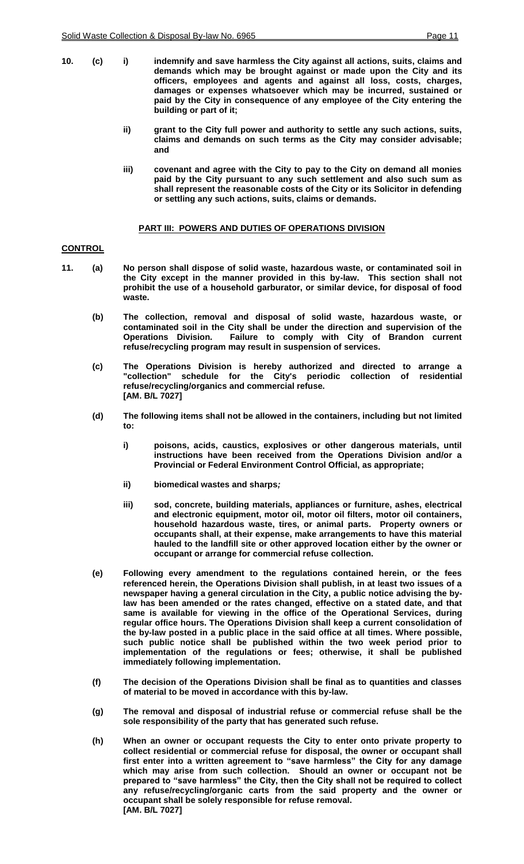- **10. (c) i) indemnify and save harmless the City against all actions, suits, claims and demands which may be brought against or made upon the City and its officers, employees and agents and against all loss, costs, charges, damages or expenses whatsoever which may be incurred, sustained or paid by the City in consequence of any employee of the City entering the building or part of it;**
	- **ii) grant to the City full power and authority to settle any such actions, suits, claims and demands on such terms as the City may consider advisable; and**
	- **iii) covenant and agree with the City to pay to the City on demand all monies paid by the City pursuant to any such settlement and also such sum as shall represent the reasonable costs of the City or its Solicitor in defending or settling any such actions, suits, claims or demands.**

#### **PART III: POWERS AND DUTIES OF OPERATIONS DIVISION**

#### **CONTROL**

- **11. (a) No person shall dispose of solid waste, hazardous waste, or contaminated soil in the City except in the manner provided in this by-law. This section shall not prohibit the use of a household garburator, or similar device, for disposal of food waste.**
	- **(b) The collection, removal and disposal of solid waste, hazardous waste, or contaminated soil in the City shall be under the direction and supervision of the Operations Division***.* **Failure to comply with City of Brandon current refuse/recycling program may result in suspension of services.**
	- **(c) The Operations Division is hereby authorized and directed to arrange a "collection" schedule for the City's periodic collection of residential refuse/recycling/organics and commercial refuse. [AM. B/L 7027]**
	- **(d) The following items shall not be allowed in the containers, including but not limited to:**
		- **i) poisons, acids, caustics, explosives or other dangerous materials, until instructions have been received from the Operations Division and/or a Provincial or Federal Environment Control Official, as appropriate;**
		- **ii) biomedical wastes and sharps***;*
		- **iii) sod, concrete, building materials, appliances or furniture, ashes, electrical and electronic equipment, motor oil, motor oil filters, motor oil containers, household hazardous waste, tires, or animal parts***.* **Property owners or occupants shall, at their expense, make arrangements to have this material hauled to the landfill site or other approved location either by the owner or occupant or arrange for commercial refuse collection.**
	- **(e) Following every amendment to the regulations contained herein, or the fees referenced herein, the Operations Division shall publish, in at least two issues of a newspaper having a general circulation in the City, a public notice advising the bylaw has been amended or the rates changed, effective on a stated date, and that same is available for viewing in the office of the Operational Services, during regular office hours. The Operations Division shall keep a current consolidation of the by-law posted in a public place in the said office at all times. Where possible, such public notice shall be published within the two week period prior to implementation of the regulations or fees; otherwise, it shall be published immediately following implementation.**
	- **(f) The decision of the Operations Division shall be final as to quantities and classes of material to be moved in accordance with this by-law.**
	- **(g) The removal and disposal of industrial refuse or commercial refuse shall be the sole responsibility of the party that has generated such refuse.**
	- **(h) When an owner or occupant requests the City to enter onto private property to collect residential or commercial refuse for disposal, the owner or occupant shall first enter into a written agreement to "save harmless" the City for any damage which may arise from such collection. Should an owner or occupant not be prepared to "save harmless" the City, then the City shall not be required to collect any refuse/recycling/organic carts from the said property and the owner or occupant shall be solely responsible for refuse removal. [AM. B/L 7027]**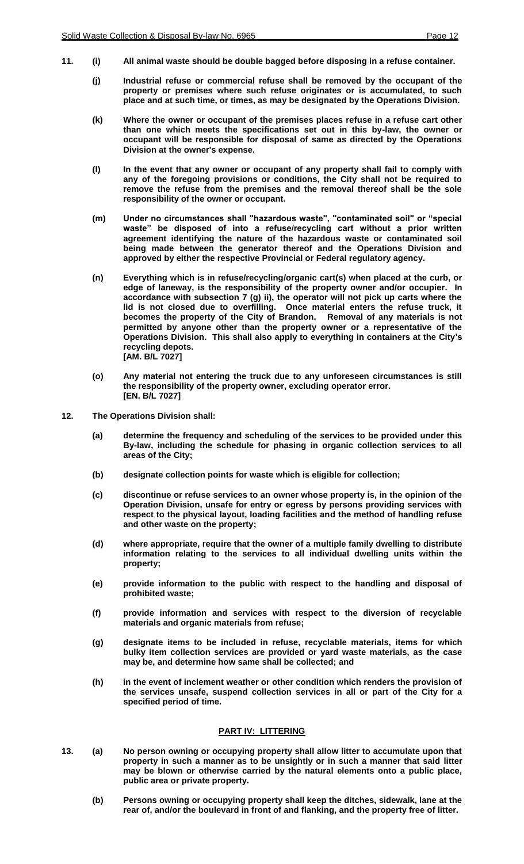- **11. (i) All animal waste should be double bagged before disposing in a refuse container.**
	- **(j) Industrial refuse or commercial refuse shall be removed by the occupant of the property or premises where such refuse originates or is accumulated, to such place and at such time, or times, as may be designated by the Operations Division.**
	- **(k) Where the owner or occupant of the premises places refuse in a refuse cart other than one which meets the specifications set out in this by-law, the owner or occupant will be responsible for disposal of same as directed by the Operations Division at the owner's expense.**
	- **(l) In the event that any owner or occupant of any property shall fail to comply with any of the foregoing provisions or conditions, the City shall not be required to remove the refuse from the premises and the removal thereof shall be the sole responsibility of the owner or occupant.**
	- **(m) Under no circumstances shall "hazardous waste", "contaminated soil" or "special waste" be disposed of into a refuse/recycling cart without a prior written agreement identifying the nature of the hazardous waste or contaminated soil being made between the generator thereof and the Operations Division and approved by either the respective Provincial or Federal regulatory agency.**
	- **(n) Everything which is in refuse/recycling/organic cart(s) when placed at the curb, or edge of laneway, is the responsibility of the property owner and/or occupier. In accordance with subsection 7 (g) ii), the operator will not pick up carts where the lid is not closed due to overfilling. Once material enters the refuse truck, it becomes the property of the City of Brandon. Removal of any materials is not permitted by anyone other than the property owner or a representative of the Operations Division. This shall also apply to everything in containers at the City's recycling depots. [AM. B/L 7027]**
	- **(o) Any material not entering the truck due to any unforeseen circumstances is still the responsibility of the property owner, excluding operator error. [EN. B/L 7027]**
- **12. The Operations Division shall:**
	- **(a) determine the frequency and scheduling of the services to be provided under this By-law, including the schedule for phasing in organic collection services to all areas of the City;**
	- **(b) designate collection points for waste which is eligible for collection;**
	- **(c) discontinue or refuse services to an owner whose property is, in the opinion of the Operation Division, unsafe for entry or egress by persons providing services with respect to the physical layout, loading facilities and the method of handling refuse and other waste on the property;**
	- **(d) where appropriate, require that the owner of a multiple family dwelling to distribute information relating to the services to all individual dwelling units within the property;**
	- **(e) provide information to the public with respect to the handling and disposal of prohibited waste;**
	- **(f) provide information and services with respect to the diversion of recyclable materials and organic materials from refuse;**
	- **(g) designate items to be included in refuse, recyclable materials, items for which bulky item collection services are provided or yard waste materials, as the case may be, and determine how same shall be collected; and**
	- **(h) in the event of inclement weather or other condition which renders the provision of the services unsafe, suspend collection services in all or part of the City for a specified period of time.**

#### **PART IV: LITTERING**

- **13. (a) No person owning or occupying property shall allow litter to accumulate upon that property in such a manner as to be unsightly or in such a manner that said litter may be blown or otherwise carried by the natural elements onto a public place, public area or private property.**
	- **(b) Persons owning or occupying property shall keep the ditches, sidewalk, lane at the rear of, and/or the boulevard in front of and flanking, and the property free of litter.**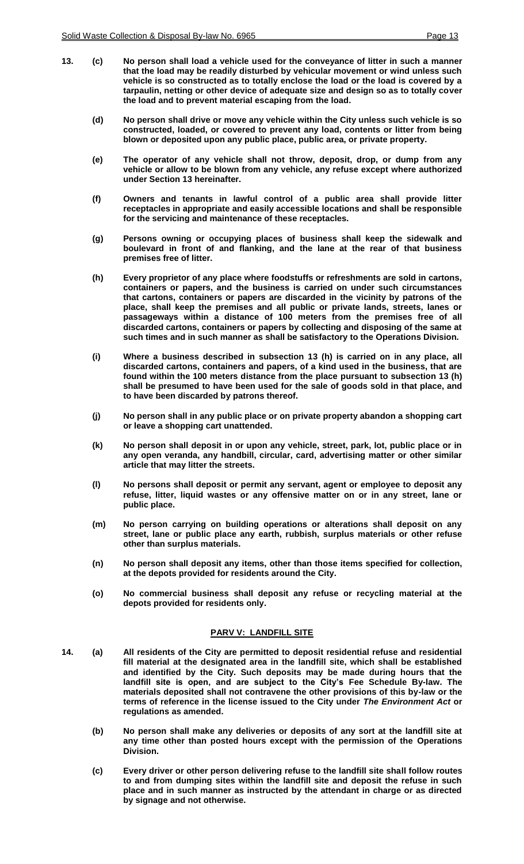- **13. (c) No person shall load a vehicle used for the conveyance of litter in such a manner that the load may be readily disturbed by vehicular movement or wind unless such vehicle is so constructed as to totally enclose the load or the load is covered by a tarpaulin, netting or other device of adequate size and design so as to totally cover the load and to prevent material escaping from the load.**
	- **(d) No person shall drive or move any vehicle within the City unless such vehicle is so constructed, loaded, or covered to prevent any load, contents or litter from being blown or deposited upon any public place, public area, or private property.**
	- **(e) The operator of any vehicle shall not throw, deposit, drop, or dump from any vehicle or allow to be blown from any vehicle, any refuse except where authorized under Section 13 hereinafter.**
	- **(f) Owners and tenants in lawful control of a public area shall provide litter receptacles in appropriate and easily accessible locations and shall be responsible for the servicing and maintenance of these receptacles.**
	- **(g) Persons owning or occupying places of business shall keep the sidewalk and boulevard in front of and flanking, and the lane at the rear of that business premises free of litter.**
	- **(h) Every proprietor of any place where foodstuffs or refreshments are sold in cartons, containers or papers, and the business is carried on under such circumstances that cartons, containers or papers are discarded in the vicinity by patrons of the place, shall keep the premises and all public or private lands, streets, lanes or passageways within a distance of 100 meters from the premises free of all discarded cartons, containers or papers by collecting and disposing of the same at such times and in such manner as shall be satisfactory to the Operations Division***.*
	- **(i) Where a business described in subsection 13 (h) is carried on in any place, all discarded cartons, containers and papers, of a kind used in the business, that are found within the 100 meters distance from the place pursuant to subsection 13 (h) shall be presumed to have been used for the sale of goods sold in that place, and to have been discarded by patrons thereof.**
	- **(j) No person shall in any public place or on private property abandon a shopping cart or leave a shopping cart unattended.**
	- **(k) No person shall deposit in or upon any vehicle, street, park, lot, public place or in any open veranda, any handbill, circular, card, advertising matter or other similar article that may litter the streets.**
	- **(l) No persons shall deposit or permit any servant, agent or employee to deposit any refuse, litter, liquid wastes or any offensive matter on or in any street, lane or public place.**
	- **(m) No person carrying on building operations or alterations shall deposit on any street, lane or public place any earth, rubbish, surplus materials or other refuse other than surplus materials.**
	- **(n) No person shall deposit any items, other than those items specified for collection, at the depots provided for residents around the City.**
	- **(o) No commercial business shall deposit any refuse or recycling material at the depots provided for residents only.**

#### **PARV V: LANDFILL SITE**

- **14. (a) All residents of the City are permitted to deposit residential refuse and residential fill material at the designated area in the landfill site, which shall be established and identified by the City. Such deposits may be made during hours that the landfill site is open, and are subject to the City's Fee Schedule By-law. The materials deposited shall not contravene the other provisions of this by-law or the terms of reference in the license issued to the City under** *The Environment Act* **or regulations as amended.**
	- **(b) No person shall make any deliveries or deposits of any sort at the landfill site at any time other than posted hours except with the permission of the Operations Division.**
	- **(c) Every driver or other person delivering refuse to the landfill site shall follow routes to and from dumping sites within the landfill site and deposit the refuse in such place and in such manner as instructed by the attendant in charge or as directed by signage and not otherwise.**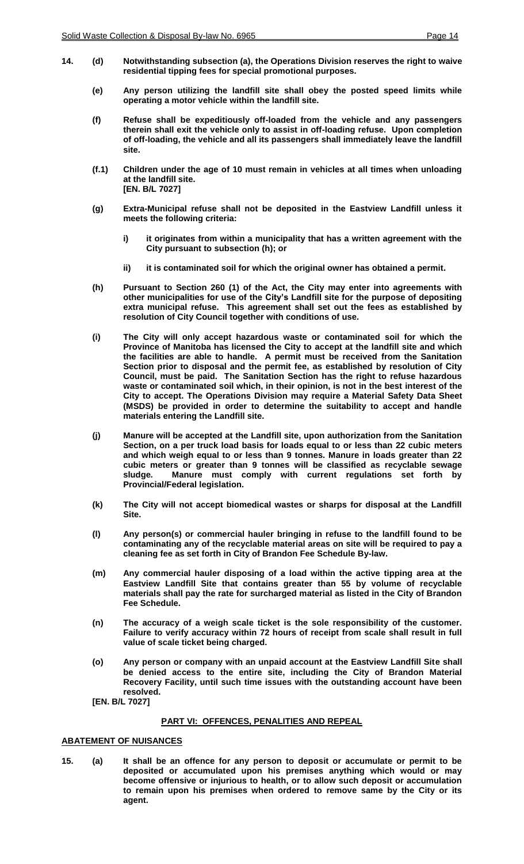- **14. (d) Notwithstanding subsection (a), the Operations Division reserves the right to waive residential tipping fees for special promotional purposes.**
	- **(e) Any person utilizing the landfill site shall obey the posted speed limits while operating a motor vehicle within the landfill site.**
	- **(f) Refuse shall be expeditiously off-loaded from the vehicle and any passengers therein shall exit the vehicle only to assist in off-loading refuse. Upon completion of off-loading, the vehicle and all its passengers shall immediately leave the landfill site.**
	- **(f.1) Children under the age of 10 must remain in vehicles at all times when unloading at the landfill site. [EN. B/L 7027]**
	- **(g) Extra-Municipal refuse shall not be deposited in the Eastview Landfill unless it meets the following criteria:**
		- **i) it originates from within a municipality that has a written agreement with the City pursuant to subsection (h); or**
		- **ii) it is contaminated soil for which the original owner has obtained a permit.**
	- **(h) Pursuant to Section 260 (1) of the Act, the City may enter into agreements with other municipalities for use of the City's Landfill site for the purpose of depositing extra municipal refuse. This agreement shall set out the fees as established by resolution of City Council together with conditions of use.**
	- **(i) The City will only accept hazardous waste or contaminated soil for which the Province of Manitoba has licensed the City to accept at the landfill site and which the facilities are able to handle. A permit must be received from the Sanitation Section prior to disposal and the permit fee, as established by resolution of City Council, must be paid. The Sanitation Section has the right to refuse hazardous waste or contaminated soil which, in their opinion, is not in the best interest of the City to accept. The Operations Division may require a Material Safety Data Sheet (MSDS) be provided in order to determine the suitability to accept and handle materials entering the Landfill site.**
	- **(j) Manure will be accepted at the Landfill site, upon authorization from the Sanitation Section, on a per truck load basis for loads equal to or less than 22 cubic meters and which weigh equal to or less than 9 tonnes. Manure in loads greater than 22 cubic meters or greater than 9 tonnes will be classified as recyclable sewage sludge***.* **Manure must comply with current regulations set forth by Provincial/Federal legislation.**
	- **(k) The City will not accept biomedical wastes or sharps for disposal at the Landfill Site.**
	- **(l) Any person(s) or commercial hauler bringing in refuse to the landfill found to be contaminating any of the recyclable material areas on site will be required to pay a cleaning fee as set forth in City of Brandon Fee Schedule By-law.**
	- **(m) Any commercial hauler disposing of a load within the active tipping area at the Eastview Landfill Site that contains greater than 55 by volume of recyclable materials shall pay the rate for surcharged material as listed in the City of Brandon Fee Schedule.**
	- **(n) The accuracy of a weigh scale ticket is the sole responsibility of the customer. Failure to verify accuracy within 72 hours of receipt from scale shall result in full value of scale ticket being charged.**
	- **(o) Any person or company with an unpaid account at the Eastview Landfill Site shall be denied access to the entire site, including the City of Brandon Material Recovery Facility, until such time issues with the outstanding account have been resolved.**

**[EN. B/L 7027]**

#### **PART VI: OFFENCES, PENALITIES AND REPEAL**

## **ABATEMENT OF NUISANCES**

**15. (a) It shall be an offence for any person to deposit or accumulate or permit to be deposited or accumulated upon his premises anything which would or may become offensive or injurious to health, or to allow such deposit or accumulation to remain upon his premises when ordered to remove same by the City or its agent.**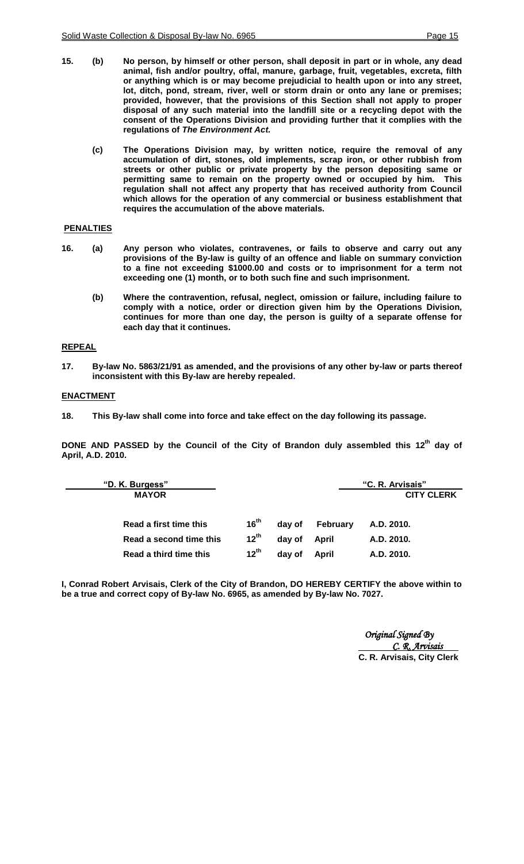- **15. (b) No person, by himself or other person, shall deposit in part or in whole, any dead animal, fish and/or poultry, offal, manure, garbage, fruit, vegetables, excreta, filth or anything which is or may become prejudicial to health upon or into any street, lot, ditch, pond, stream, river, well or storm drain or onto any lane or premises; provided, however, that the provisions of this Section shall not apply to proper disposal of any such material into the landfill site or a recycling depot with the consent of the Operations Division and providing further that it complies with the regulations of** *The Environment Act.*
	- **(c) The Operations Division may, by written notice, require the removal of any accumulation of dirt, stones, old implements, scrap iron, or other rubbish from streets or other public or private property by the person depositing same or permitting same to remain on the property owned or occupied by him. This regulation shall not affect any property that has received authority from Council which allows for the operation of any commercial or business establishment that requires the accumulation of the above materials.**

## **PENALTIES**

- **16. (a) Any person who violates, contravenes, or fails to observe and carry out any provisions of the By-law is guilty of an offence and liable on summary conviction to a fine not exceeding \$1000.00 and costs or to imprisonment for a term not exceeding one (1) month, or to both such fine and such imprisonment.**
	- **(b) Where the contravention, refusal, neglect, omission or failure, including failure to comply with a notice, order or direction given him by the Operations Division***,*  **continues for more than one day, the person is guilty of a separate offense for each day that it continues.**

## **REPEAL**

**17. By-law No. 5863/21/91 as amended, and the provisions of any other by-law or parts thereof inconsistent with this By-law are hereby repealed.**

## **ENACTMENT**

**18. This By-law shall come into force and take effect on the day following its passage.**

**DONE AND PASSED by the Council of the City of Brandon duly assembled this 12th day of April, A.D. 2010.**

| "D. K. Burgess"         |           |        |          | "C. R. Arvisais"  |
|-------------------------|-----------|--------|----------|-------------------|
| <b>MAYOR</b>            |           |        |          | <b>CITY CLERK</b> |
|                         |           |        |          |                   |
| Read a first time this  | $16^{th}$ | day of | February | A.D. 2010.        |
| Read a second time this | $12^{th}$ | day of | April    | A.D. 2010.        |
| Read a third time this  | $12^{th}$ | day of | April    | A.D. 2010.        |

**I, Conrad Robert Arvisais, Clerk of the City of Brandon, DO HEREBY CERTIFY the above within to be a true and correct copy of By-law No. 6965, as amended by By-law No. 7027.**

> *Original Signed By C. R. Arvisais*  **C. R. Arvisais, City Clerk**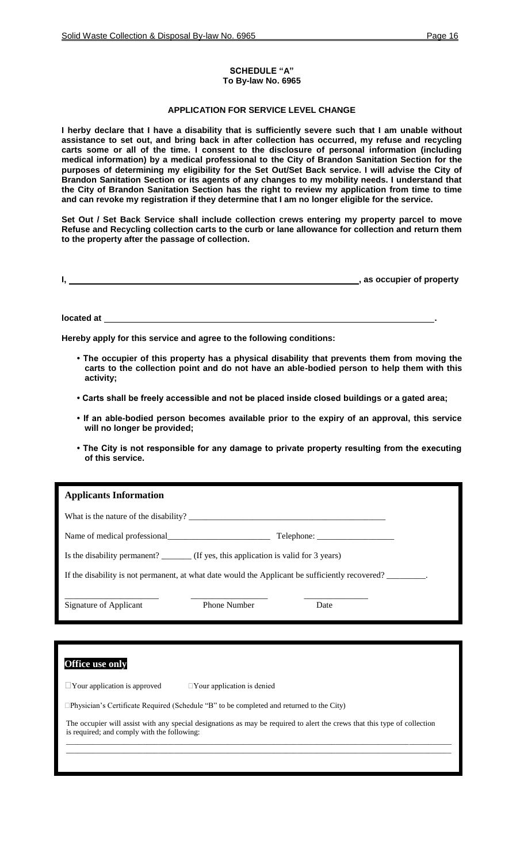#### **SCHEDULE "A" To By-law No. 6965**

## **APPLICATION FOR SERVICE LEVEL CHANGE**

**I herby declare that I have a disability that is sufficiently severe such that I am unable without assistance to set out, and bring back in after collection has occurred, my refuse and recycling carts some or all of the time. I consent to the disclosure of personal information (including medical information) by a medical professional to the City of Brandon Sanitation Section for the purposes of determining my eligibility for the Set Out/Set Back service. I will advise the City of Brandon Sanitation Section or its agents of any changes to my mobility needs. I understand that the City of Brandon Sanitation Section has the right to review my application from time to time and can revoke my registration if they determine that I am no longer eligible for the service.**

**Set Out / Set Back Service shall include collection crews entering my property parcel to move Refuse and Recycling collection carts to the curb or lane allowance for collection and return them to the property after the passage of collection.** 

|  | , as occupier of property |
|--|---------------------------|
|  |                           |

**located at .**

**Hereby apply for this service and agree to the following conditions:** 

- **The occupier of this property has a physical disability that prevents them from moving the carts to the collection point and do not have an able-bodied person to help them with this activity;**
- **Carts shall be freely accessible and not be placed inside closed buildings or a gated area;**
- **If an able-bodied person becomes available prior to the expiry of an approval, this service will no longer be provided;**
- **The City is not responsible for any damage to private property resulting from the executing of this service.**

| <b>Applicants Information</b>                                                                   |                                   |            |  |  |
|-------------------------------------------------------------------------------------------------|-----------------------------------|------------|--|--|
|                                                                                                 |                                   |            |  |  |
|                                                                                                 |                                   | Telephone: |  |  |
| Is the disability permanent? ________ (If yes, this application is valid for 3 years)           |                                   |            |  |  |
| If the disability is not permanent, at what date would the Applicant be sufficiently recovered? |                                   |            |  |  |
| Signature of Applicant                                                                          | <b>Phone Number</b>               | Date       |  |  |
|                                                                                                 |                                   |            |  |  |
| <b>Office use only</b>                                                                          |                                   |            |  |  |
| $\Box$ Your application is approved                                                             | $\Box$ Your application is denied |            |  |  |
| $\Box$ Physician's Certificate Required (Schedule "B" to be completed and returned to the City) |                                   |            |  |  |

The occupier will assist with any special designations as may be required to alert the crews that this type of collection is required; and comply with the following: \_\_\_\_\_\_\_\_\_\_\_\_\_\_\_\_\_\_\_\_\_\_\_\_\_\_\_\_\_\_\_\_\_\_\_\_\_\_\_\_\_\_\_\_\_\_\_\_\_\_\_\_\_\_\_\_\_\_\_\_\_\_\_\_\_\_\_\_\_\_\_\_\_\_\_\_\_\_\_\_\_\_\_\_\_\_\_\_\_\_\_\_\_\_\_\_\_\_\_\_

\_\_\_\_\_\_\_\_\_\_\_\_\_\_\_\_\_\_\_\_\_\_\_\_\_\_\_\_\_\_\_\_\_\_\_\_\_\_\_\_\_\_\_\_\_\_\_\_\_\_\_\_\_\_\_\_\_\_\_\_\_\_\_\_\_\_\_\_\_\_\_\_\_\_\_\_\_\_\_\_\_\_\_\_\_\_\_\_\_\_\_\_\_\_\_\_\_\_\_\_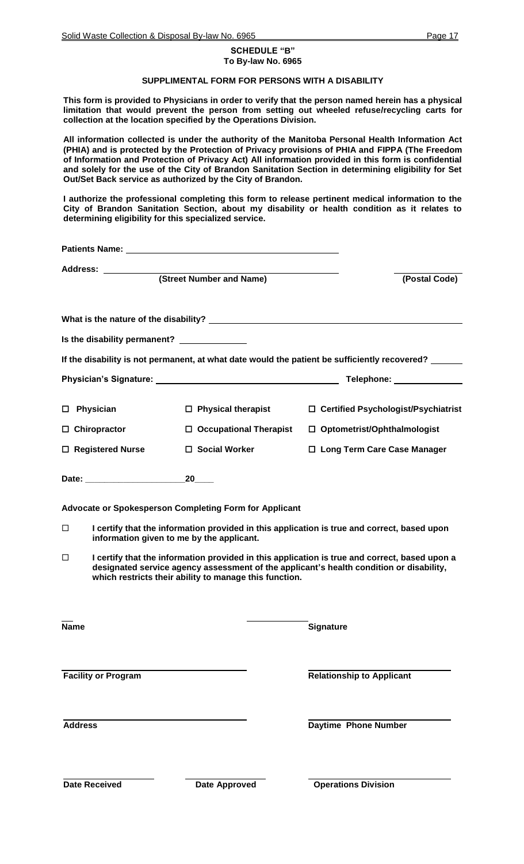#### **SCHEDULE "B" To By-law No. 6965**

## **SUPPLIMENTAL FORM FOR PERSONS WITH A DISABILITY**

**This form is provided to Physicians in order to verify that the person named herein has a physical limitation that would prevent the person from setting out wheeled refuse/recycling carts for collection at the location specified by the Operations Division.** 

**All information collected is under the authority of the Manitoba Personal Health Information Act (PHIA) and is protected by the Protection of Privacy provisions of PHIA and FIPPA (The Freedom of Information and Protection of Privacy Act) All information provided in this form is confidential and solely for the use of the City of Brandon Sanitation Section in determining eligibility for Set Out/Set Back service as authorized by the City of Brandon.** 

**I authorize the professional completing this form to release pertinent medical information to the City of Brandon Sanitation Section, about my disability or health condition as it relates to determining eligibility for this specialized service.**

|             | (Street Number and Name)<br>(Postal Code)   |                                                        |                                                                                                                                                                                          |  |
|-------------|---------------------------------------------|--------------------------------------------------------|------------------------------------------------------------------------------------------------------------------------------------------------------------------------------------------|--|
|             |                                             |                                                        |                                                                                                                                                                                          |  |
|             | Is the disability permanent? ______________ |                                                        |                                                                                                                                                                                          |  |
|             |                                             |                                                        | If the disability is not permanent, at what date would the patient be sufficiently recovered?                                                                                            |  |
|             |                                             |                                                        |                                                                                                                                                                                          |  |
|             | $\square$ Physician                         | $\Box$ Physical therapist                              | □ Certified Psychologist/Psychiatrist                                                                                                                                                    |  |
|             | $\Box$ Chiropractor                         | $\Box$ Occupational Therapist                          | $\Box$ Optometrist/Ophthalmologist                                                                                                                                                       |  |
|             | □ Registered Nurse                          | □ Social Worker                                        | □ Long Term Care Case Manager                                                                                                                                                            |  |
|             |                                             | 20                                                     |                                                                                                                                                                                          |  |
|             |                                             | Advocate or Spokesperson Completing Form for Applicant |                                                                                                                                                                                          |  |
| □           |                                             | information given to me by the applicant.              | I certify that the information provided in this application is true and correct, based upon                                                                                              |  |
| □           |                                             | which restricts their ability to manage this function. | I certify that the information provided in this application is true and correct, based upon a<br>designated service agency assessment of the applicant's health condition or disability, |  |
| <b>Name</b> |                                             |                                                        | <b>Signature</b>                                                                                                                                                                         |  |
|             | <b>Facility or Program</b>                  |                                                        | <b>Relationship to Applicant</b>                                                                                                                                                         |  |
|             | <b>Address</b>                              |                                                        | <b>Daytime Phone Number</b>                                                                                                                                                              |  |
|             | Date Received                               | <b>Date Approved</b>                                   | <b>Operations Division</b>                                                                                                                                                               |  |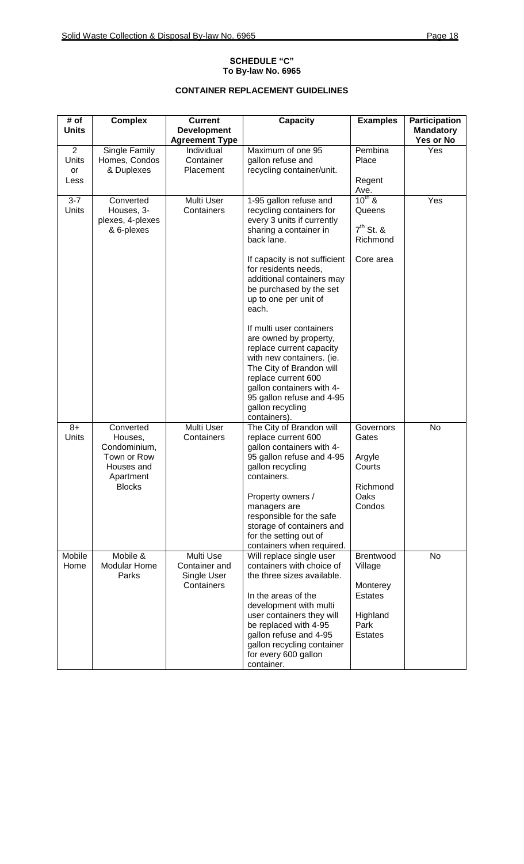## **SCHEDULE "C" To By-law No. 6965**

# **CONTAINER REPLACEMENT GUIDELINES**

| # of<br><b>Units</b>                  | <b>Complex</b>                                                                                  | <b>Current</b><br><b>Development</b>                          | <b>Capacity</b>                                                                                                                                                                                                                                                                                                                                                                                                                                                                                                                             | <b>Examples</b>                                                                          | Participation<br><b>Mandatory</b> |
|---------------------------------------|-------------------------------------------------------------------------------------------------|---------------------------------------------------------------|---------------------------------------------------------------------------------------------------------------------------------------------------------------------------------------------------------------------------------------------------------------------------------------------------------------------------------------------------------------------------------------------------------------------------------------------------------------------------------------------------------------------------------------------|------------------------------------------------------------------------------------------|-----------------------------------|
| $\overline{2}$<br>Units<br>or<br>Less | Single Family<br>Homes, Condos<br>& Duplexes                                                    | <b>Agreement Type</b><br>Individual<br>Container<br>Placement | Maximum of one 95<br>gallon refuse and<br>recycling container/unit.                                                                                                                                                                                                                                                                                                                                                                                                                                                                         | Pembina<br>Place<br>Regent<br>Ave.                                                       | Yes or No<br>Yes                  |
| $3 - 7$<br>Units                      | Converted<br>Houses, 3-<br>plexes, 4-plexes<br>& 6-plexes                                       | Multi User<br>Containers                                      | 1-95 gallon refuse and<br>recycling containers for<br>every 3 units if currently<br>sharing a container in<br>back lane.<br>If capacity is not sufficient<br>for residents needs,<br>additional containers may<br>be purchased by the set<br>up to one per unit of<br>each.<br>If multi user containers<br>are owned by property,<br>replace current capacity<br>with new containers. (ie.<br>The City of Brandon will<br>replace current 600<br>gallon containers with 4-<br>95 gallon refuse and 4-95<br>gallon recycling<br>containers). | $10^{th}$ &<br>Queens<br>$7th$ St. &<br>Richmond<br>Core area                            | Yes                               |
| $8+$<br>Units                         | Converted<br>Houses,<br>Condominium,<br>Town or Row<br>Houses and<br>Apartment<br><b>Blocks</b> | Multi User<br>Containers                                      | The City of Brandon will<br>replace current 600<br>gallon containers with 4-<br>95 gallon refuse and 4-95<br>gallon recycling<br>containers.<br>Property owners /<br>managers are<br>responsible for the safe<br>storage of containers and<br>for the setting out of<br>containers when required.                                                                                                                                                                                                                                           | Governors<br>Gates<br>Argyle<br>Courts<br>Richmond<br>Oaks<br>Condos                     | No                                |
| Mobile<br>Home                        | Mobile &<br><b>Modular Home</b><br>Parks                                                        | Multi Use<br>Container and<br>Single User<br>Containers       | Will replace single user<br>containers with choice of<br>the three sizes available.<br>In the areas of the<br>development with multi<br>user containers they will<br>be replaced with 4-95<br>gallon refuse and 4-95<br>gallon recycling container<br>for every 600 gallon<br>container.                                                                                                                                                                                                                                                    | Brentwood<br>Village<br>Monterey<br><b>Estates</b><br>Highland<br>Park<br><b>Estates</b> | No                                |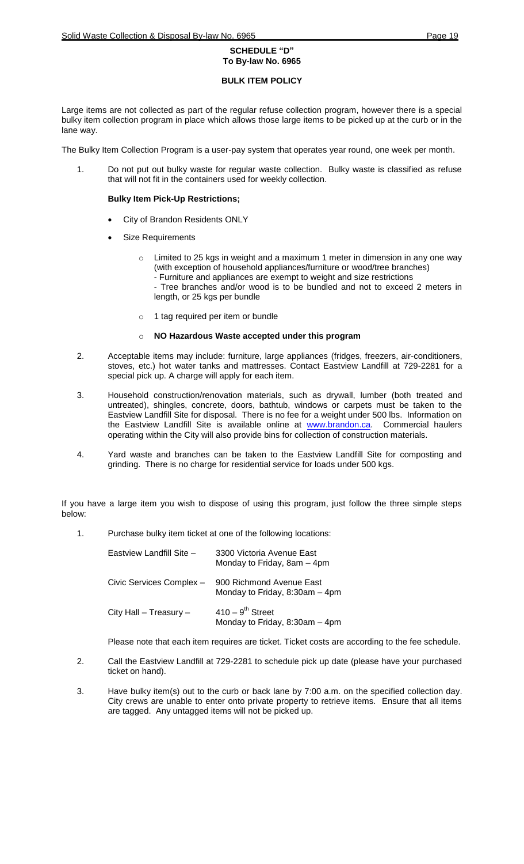## **BULK ITEM POLICY**

Large items are not collected as part of the regular refuse collection program, however there is a special bulky item collection program in place which allows those large items to be picked up at the curb or in the lane way.

The Bulky Item Collection Program is a user-pay system that operates year round, one week per month.

1. Do not put out bulky waste for regular waste collection. Bulky waste is classified as refuse that will not fit in the containers used for weekly collection.

## **Bulky Item Pick-Up Restrictions;**

- City of Brandon Residents ONLY
- Size Requirements
	- Limited to 25 kgs in weight and a maximum 1 meter in dimension in any one way (with exception of household appliances/furniture or wood/tree branches) - Furniture and appliances are exempt to weight and size restrictions
		- Tree branches and/or wood is to be bundled and not to exceed 2 meters in length, or 25 kgs per bundle
	- o 1 tag required per item or bundle

## NO Hazardous Waste accepted under this program

- 2. Acceptable items may include: furniture, large appliances (fridges, freezers, air-conditioners, stoves, etc.) hot water tanks and mattresses. Contact Eastview Landfill at 729-2281 for a special pick up. A charge will apply for each item.
- 3. Household construction/renovation materials, such as drywall, lumber (both treated and untreated), shingles, concrete, doors, bathtub, windows or carpets must be taken to the Eastview Landfill Site for disposal. There is no fee for a weight under 500 lbs. Information on the Eastview Landfill Site is available online at **[www.brandon.ca.](http://www.brandon.ca/)** Commercial haulers operating within the City will also provide bins for collection of construction materials.
- 4. Yard waste and branches can be taken to the Eastview Landfill Site for composting and grinding. There is no charge for residential service for loads under 500 kgs.

If you have a large item you wish to dispose of using this program, just follow the three simple steps below:

1. Purchase bulky item ticket at one of the following locations:

| Eastview Landfill Site - | 3300 Victoria Avenue East<br>Monday to Friday, 8am - 4pm         |
|--------------------------|------------------------------------------------------------------|
| Civic Services Complex - | 900 Richmond Avenue East<br>Monday to Friday, 8:30am - 4pm       |
| City Hall - Treasury -   | $410 - 9$ <sup>th</sup> Street<br>Monday to Friday, 8:30am - 4pm |

Please note that each item requires are ticket. Ticket costs are according to the fee schedule.

- 2. Call the Eastview Landfill at 729-2281 to schedule pick up date (please have your purchased ticket on hand).
- 3. Have bulky item(s) out to the curb or back lane by 7:00 a.m. on the specified collection day. City crews are unable to enter onto private property to retrieve items. Ensure that all items are tagged. Any untagged items will not be picked up.